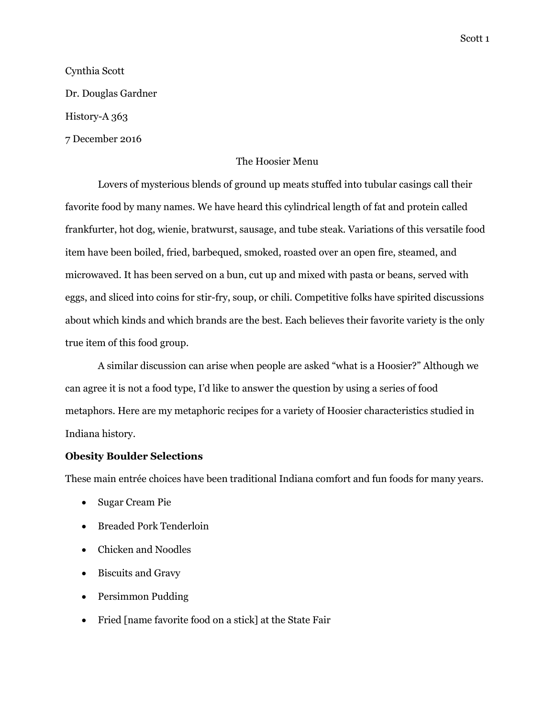Scott 1

# Cynthia Scott Dr. Douglas Gardner History-A 363 7 December 2016

### The Hoosier Menu

Lovers of mysterious blends of ground up meats stuffed into tubular casings call their favorite food by many names. We have heard this cylindrical length of fat and protein called frankfurter, hot dog, wienie, bratwurst, sausage, and tube steak. Variations of this versatile food item have been boiled, fried, barbequed, smoked, roasted over an open fire, steamed, and microwaved. It has been served on a bun, cut up and mixed with pasta or beans, served with eggs, and sliced into coins for stir-fry, soup, or chili. Competitive folks have spirited discussions about which kinds and which brands are the best. Each believes their favorite variety is the only true item of this food group.

A similar discussion can arise when people are asked "what is a Hoosier?" Although we can agree it is not a food type, I'd like to answer the question by using a series of food metaphors. Here are my metaphoric recipes for a variety of Hoosier characteristics studied in Indiana history.

#### **Obesity Boulder Selections**

These main entrée choices have been traditional Indiana comfort and fun foods for many years.

- Sugar Cream Pie
- Breaded Pork Tenderloin
- Chicken and Noodles
- Biscuits and Gravy
- Persimmon Pudding
- Fried [name favorite food on a stick] at the State Fair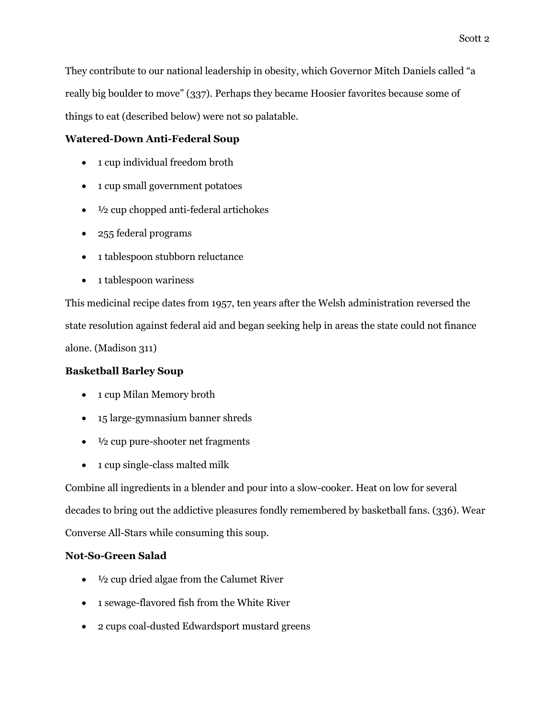They contribute to our national leadership in obesity, which Governor Mitch Daniels called "a really big boulder to move" (337). Perhaps they became Hoosier favorites because some of things to eat (described below) were not so palatable.

# **Watered-Down Anti-Federal Soup**

- 1 cup individual freedom broth
- 1 cup small government potatoes
- $\bullet$   $\frac{1}{2}$  cup chopped anti-federal artichokes
- 255 federal programs
- 1 tablespoon stubborn reluctance
- 1 tablespoon wariness

This medicinal recipe dates from 1957, ten years after the Welsh administration reversed the state resolution against federal aid and began seeking help in areas the state could not finance alone. (Madison 311)

# **Basketball Barley Soup**

- 1 cup Milan Memory broth
- 15 large-gymnasium banner shreds
- $\bullet$   $\frac{1}{2}$  cup pure-shooter net fragments
- 1 cup single-class malted milk

Combine all ingredients in a blender and pour into a slow-cooker. Heat on low for several decades to bring out the addictive pleasures fondly remembered by basketball fans. (336). Wear Converse All-Stars while consuming this soup.

# **Not-So-Green Salad**

- 1/2 cup dried algae from the Calumet River
- 1 sewage-flavored fish from the White River
- 2 cups coal-dusted Edwardsport mustard greens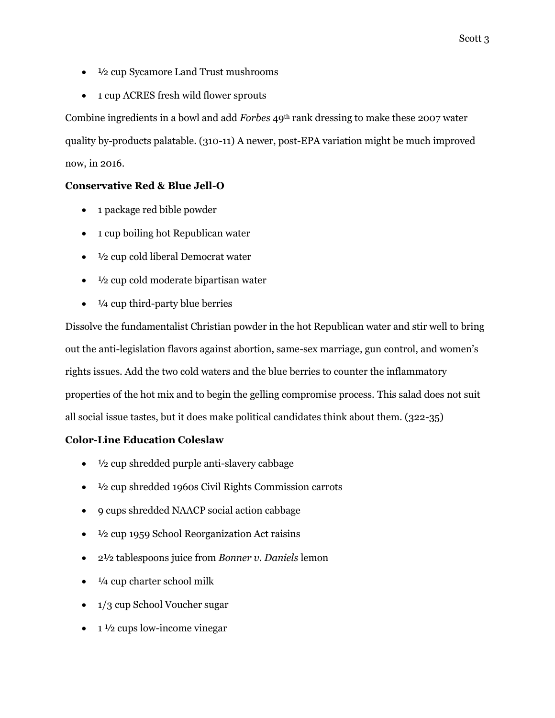- <sup>1</sup>/2 cup Sycamore Land Trust mushrooms
- 1 cup ACRES fresh wild flower sprouts

Combine ingredients in a bowl and add *Forbes* 49th rank dressing to make these 2007 water quality by-products palatable. (310-11) A newer, post-EPA variation might be much improved now, in 2016.

## **Conservative Red & Blue Jell-O**

- 1 package red bible powder
- 1 cup boiling hot Republican water
- $\bullet$   $\frac{1}{2}$  cup cold liberal Democrat water
- $\bullet$   $\frac{1}{2}$  cup cold moderate bipartisan water
- $\bullet$   $\frac{1}{4}$  cup third-party blue berries

Dissolve the fundamentalist Christian powder in the hot Republican water and stir well to bring out the anti-legislation flavors against abortion, same-sex marriage, gun control, and women's rights issues. Add the two cold waters and the blue berries to counter the inflammatory properties of the hot mix and to begin the gelling compromise process. This salad does not suit all social issue tastes, but it does make political candidates think about them. (322-35)

## **Color-Line Education Coleslaw**

- $\bullet$   $\frac{1}{2}$  cup shredded purple anti-slavery cabbage
- ½ cup shredded 1960s Civil Rights Commission carrots
- 9 cups shredded NAACP social action cabbage
- $\bullet$   $\frac{1}{2}$  cup 1959 School Reorganization Act raisins
- 2½ tablespoons juice from *Bonner v. Daniels* lemon
- $\bullet$   $\frac{1}{4}$  cup charter school milk
- 1/3 cup School Voucher sugar
- $\bullet$  1  $\frac{1}{2}$  cups low-income vinegar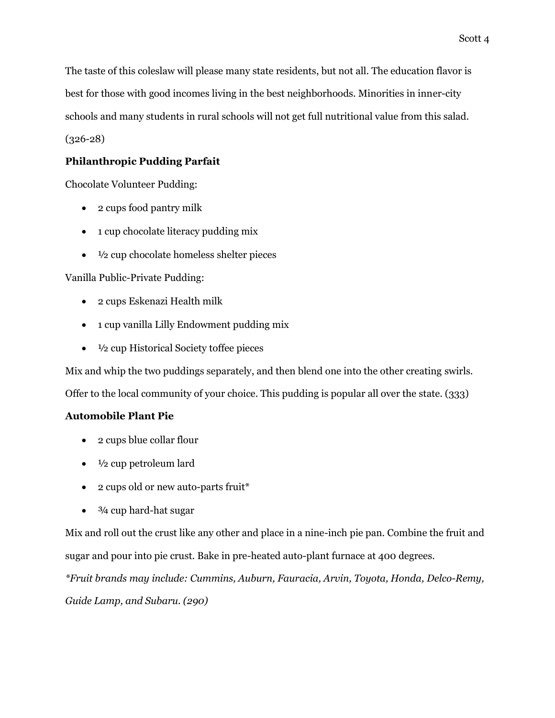The taste of this coleslaw will please many state residents, but not all. The education flavor is best for those with good incomes living in the best neighborhoods. Minorities in inner-city schools and many students in rural schools will not get full nutritional value from this salad. (326-28)

# **Philanthropic Pudding Parfait**

Chocolate Volunteer Pudding:

- 2 cups food pantry milk
- 1 cup chocolate literacy pudding mix
- $\bullet$   $\frac{1}{2}$  cup chocolate homeless shelter pieces

Vanilla Public-Private Pudding:

- 2 cups Eskenazi Health milk
- 1 cup vanilla Lilly Endowment pudding mix
- ½ cup Historical Society toffee pieces

Mix and whip the two puddings separately, and then blend one into the other creating swirls. Offer to the local community of your choice. This pudding is popular all over the state. (333)

## **Automobile Plant Pie**

- 2 cups blue collar flour
- $\bullet$   $\frac{1}{2}$  cup petroleum lard
- 2 cups old or new auto-parts fruit\*
- $\bullet$   $\frac{3}{4}$  cup hard-hat sugar

Mix and roll out the crust like any other and place in a nine-inch pie pan. Combine the fruit and sugar and pour into pie crust. Bake in pre-heated auto-plant furnace at 400 degrees.

*\*Fruit brands may include: Cummins, Auburn, Fauracia, Arvin, Toyota, Honda, Delco-Remy, Guide Lamp, and Subaru. (290)*